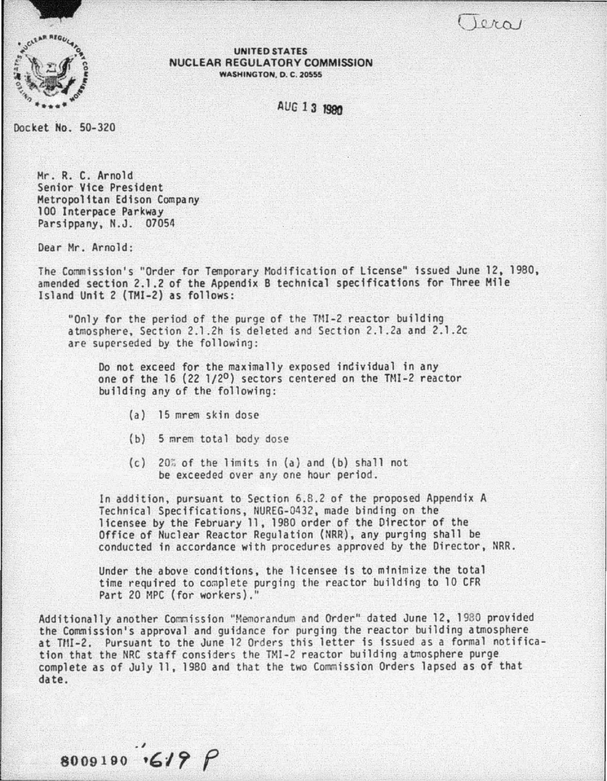$0(n)$ 



UNITED STATES NUCLEAR REGULATORY COMMISSION **WASHINGTON, D. C. 20555** 

**AUG 1 3 1980** 

Docket No. 50-320

Mr. R. C. Arnold Senior Vice President Metropolitan Edison Company Parsippany. N.J. 07054

Dear Mr. Arnold:

The Commission's "Order for Temporary Modification of License" issued June 12, 1980, amended section 2.1.2 of the Appendix 8 technical specifications for Three Mile Island Unit 2 (THI-2) as follows:

"Only for the period of the purge of the TMI-2 reactor building<br>atmosphere, Section 2.1.2h is deleted and Section 2.1.2a and 2.1.2c are superseded by the following:

Do not exceed for the maximally exposed individual in any one of the  $16$  (22  $1/2^0$ ) sectors centered on the TMI-2 reactor building any of the following:

(a) 15 mrem skin dose

8009190  $6199$ 

- {b) 5 *mrem* total body dose
- $(c)$  20% of the limits in  $(a)$  and  $(b)$  shall not be exceeded over any one hour period.

In addition, pursuant to Section 6.8.2 of the proposed Appendix A Technical Specifications, NUREG-0432, made binding on the licensee by the February 11. 1980 order of the Director of the Office of Nuclear Reactor Regulation (NRR), any purging shall be conducted in accordance with procedures approved by the Director, NRR.

Under the above conditions, the licensee 1s to minimize the total time required to complete purging the reactor building to 10 CFR Part 20 HPC (for workers). ''

Additionally another Commission "Memorandum and Order" dated June 12, 1980 provided<br>the Commission's approval and guidance for purging the reactor building atmosphere at TMI-2. Pursuant to the June 12 Orders this letter is issued as a formal notification that the NRC staff considers the TMI-2 reactor building atmosphere purge complete as of July 11. 1980 and that the two Commission Orders lapsed as of that date.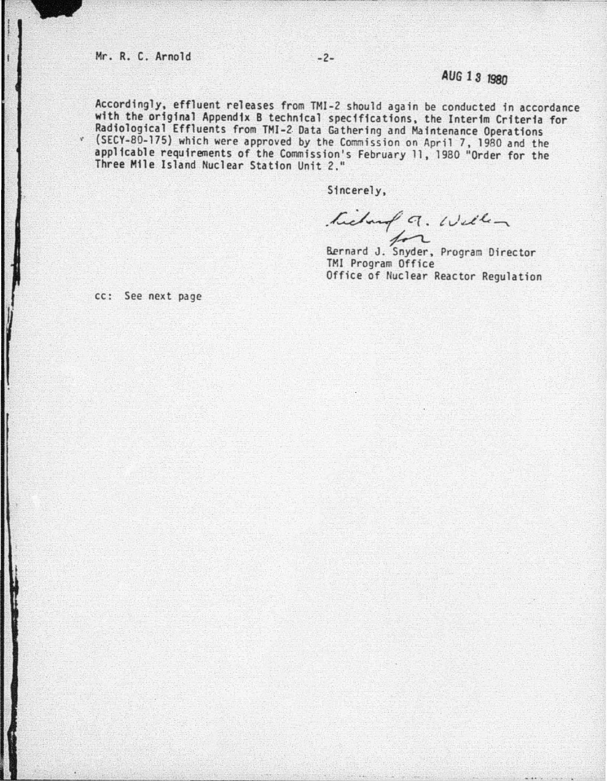Accordingly, effluent releases from TMI-2 should again be conducted in accordance with the original Appendix 8 technical specifications, the Interim Criteria for Radiological Effluents from TMI-2. Data Gathering and Maintenance Operations <sup>~</sup>(SECY-80-175} which were approved by the Commission on April 7, 1980 and the applicable requirements of the Commission's February 11, 1980 "Order for the Three Mtle Island Nuclear Station Unit 2. "

Sincerely,

*.* LJ~ *q. t ..* jd'.G--""\. hedough 9. Well -

TMI Program Office Office of Nuclear Reactor Regulation

cc: See next page

*1*